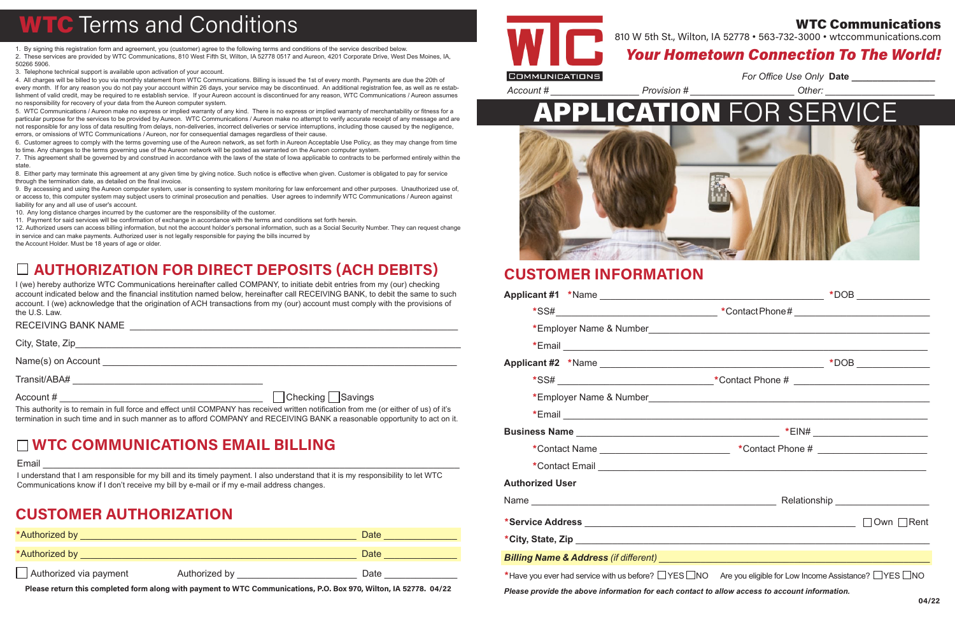### Your Hometown Connection To The World!





### WTC Communications 810 W 5th St., Wilton, IA 52778 • 563-732-3000 • wtccommunications.com

### CUSTOMER INFORMATION

|                        | *SS# _________________________________*Contact Phone # _________________________                                                 |
|------------------------|----------------------------------------------------------------------------------------------------------------------------------|
|                        |                                                                                                                                  |
|                        |                                                                                                                                  |
|                        |                                                                                                                                  |
|                        | *Contact Name _____________________________ *Contact Phone # ___________________                                                 |
|                        |                                                                                                                                  |
| <b>Authorized User</b> |                                                                                                                                  |
|                        |                                                                                                                                  |
|                        |                                                                                                                                  |
|                        |                                                                                                                                  |
|                        |                                                                                                                                  |
|                        | *Have you ever had service with us before? $\Box$ YES $\Box$ NO Are you eligible for Low Income Assistance? $\Box$ YES $\Box$ NO |
|                        | Please provide the above information for each contact to allow access to account information.                                    |

## **WTC** Terms and Conditions

1. By signing this registration form and agreement, you (customer) agree to the following terms and conditions of the service described below. 2. These services are provided by WTC Communications, 810 West Fifth St, Wilton, IA 52778 0517 and Aureon, 4201 Corporate Drive, West Des Moines, IA, 50266 5906.

3. Telephone technical support is available upon activation of your account.

4. All charges will be billed to you via monthly statement from WTC Communications. Billing is issued the 1st of every month. Payments are due the 20th of every month. If for any reason you do not pay your account within 26 days, your service may be discontinued. An additional registration fee, as well as re establishment of valid credit, may be required to re establish service. If your Aureon account is discontinued for any reason, WTC Communications / Aureon assumes no responsibility for recovery of your data from the Aureon computer system.

| *Authorized by         |               | Date |
|------------------------|---------------|------|
| *Authorized by         |               | Date |
| Authorized via payment | Authorized by | Date |

5. WTC Communications / Aureon make no express or implied warranty of any kind. There is no express or implied warranty of merchantability or fitness for a particular purpose for the services to be provided by Aureon. WTC Communications / Aureon make no attempt to verify accurate receipt of any message and are not responsible for any loss of data resulting from delays, non-deliveries, incorrect deliveries or service interruptions, including those caused by the negligence, errors, or omissions of WTC Communications / Aureon, nor for consequential damages regardless of their cause.

RECEIVING BANK NAME THE RECEIVING BANK NAME City, State, Zip\_\_\_\_\_\_\_\_\_\_\_\_\_\_\_\_\_\_\_\_\_\_\_\_\_\_\_\_\_\_\_\_\_\_\_\_\_\_\_\_\_\_\_\_\_\_\_\_\_\_\_\_\_\_\_\_\_\_\_\_\_\_\_\_\_\_\_\_\_\_\_\_\_\_ Name(s) on Account **Name** (s) on Account Transit/ABA# \_\_\_\_\_\_\_\_\_\_\_\_\_\_\_\_\_\_\_\_\_\_\_\_\_\_\_\_\_\_\_\_\_\_\_\_ Account # \_\_\_\_\_\_\_\_\_\_\_\_\_\_\_\_\_\_\_\_\_\_\_\_\_\_\_\_\_\_\_\_\_\_\_\_\_\_\_ Checking Savings

6. Customer agrees to comply with the terms governing use of the Aureon network, as set forth in Aureon Acceptable Use Policy, as they may change from time to time. Any changes to the terms governing use of the Aureon network will be posted as warranted on the Aureon computer system.

7. This agreement shall be governed by and construed in accordance with the laws of the state of Iowa applicable to contracts to be performed entirely within the state.

8. Either party may terminate this agreement at any given time by giving notice. Such notice is effective when given. Customer is obligated to pay for service through the termination date, as detailed on the final invoice.

9. By accessing and using the Aureon computer system, user is consenting to system monitoring for law enforcement and other purposes. Unauthorized use of, or access to, this computer system may subject users to criminal prosecution and penalties. User agrees to indemnify WTC Communications / Aureon against liability for any and all use of user's account.

10. Any long distance charges incurred by the customer are the responsibility of the customer.

11. Payment for said services will be confirmation of exchange in accordance with the terms and conditions set forth herein.

12. Authorized users can access billing information, but not the account holder's personal information, such as a Social Security Number. They can request change in service and can make payments. Authorized user is not legally responsible for paying the bills incurred by the Account Holder. Must be 18 years of age or older.

### CUSTOMER AUTHORIZATION

Please return this completed form along with payment to WTC Communications, P.O. Box 970, Wilton, IA 52778. 04/22



### AUTHORIZATION FOR DIRECT DEPOSITS (ACH DEBITS)

I (we) hereby authorize WTC Communications hereinafter called COMPANY, to initiate debit entries from my (our) checking account indicated below and the financial institution named below, hereinafter call RECEIVING BANK, to debit the same to such account. I (we) acknowledge that the origination of ACH transactions from my (our) account must comply with the provisions of the U.S. Law.

This authority is to remain in full force and effect until COMPANY has received written notification from me (or either of us) of it's termination in such time and in such manner as to afford COMPANY and RECEIVING BANK a reasonable opportunity to act on it.

### WTC COMMUNICATIONS EMAIL BILLING

Email \_\_\_\_\_\_\_\_\_\_\_\_\_\_\_\_\_\_\_\_\_\_\_\_\_\_\_\_\_\_\_\_\_\_\_\_\_\_\_\_\_\_\_\_\_\_\_\_\_\_\_\_\_\_\_\_\_\_\_\_\_\_\_\_\_\_\_\_\_\_\_\_\_\_\_\_\_\_\_\_

I understand that I am responsible for my bill and its timely payment. I also understand that it is my responsibility to let WTC Communications know if I don't receive my bill by e-mail or if my e-mail address changes.

*Account # \_\_\_\_\_\_\_\_\_\_\_\_\_\_\_\_\_ Provision # \_\_\_\_\_\_\_\_\_\_\_\_\_\_\_\_\_\_\_\_ Other: \_\_\_\_\_\_\_\_\_\_\_\_\_\_\_\_\_\_\_\_\_*

*For Office Use Only* **Date \_\_\_\_\_\_\_\_\_\_\_\_\_\_\_\_**